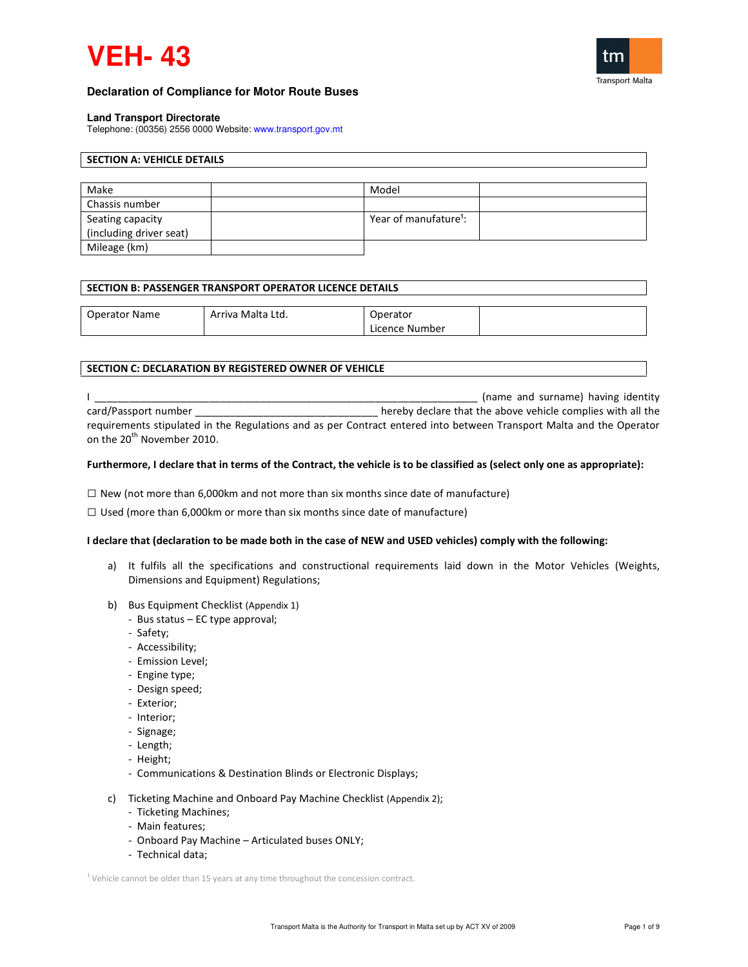# **VEH- 43**



## **Declaration of Compliance for Motor Route Buses**

#### **Land Transport Directorate**

Telephone: (00356) 2556 0000 Website: www.transport.gov.mt

# SECTION A: VEHICLE DETAILS

| Make                    | Model                             |  |
|-------------------------|-----------------------------------|--|
| Chassis number          |                                   |  |
| Seating capacity        | Year of manufature <sup>1</sup> : |  |
| (including driver seat) |                                   |  |
| Mileage (km)            |                                   |  |

#### SECTION B: PASSENGER TRANSPORT OPERATOR LICENCE DETAILS

| <b>Operator Name</b> | Arriva Malta Ltd. | erator            |  |
|----------------------|-------------------|-------------------|--|
|                      |                   | Number<br>Licence |  |

## SECTION C: DECLARATION BY REGISTERED OWNER OF VEHICLE

I \_\_\_\_\_\_\_\_\_\_\_\_\_\_\_\_\_\_\_\_\_\_\_\_\_\_\_\_\_\_\_\_\_\_\_\_\_\_\_\_\_\_\_\_\_\_\_\_\_\_\_\_\_\_\_\_\_\_\_\_\_\_\_\_\_\_\_ (name and surname) having identity card/Passport number **and the above vehicle complies with all the** above vehicle complies with all the requirements stipulated in the Regulations and as per Contract entered into between Transport Malta and the Operator on the 20<sup>th</sup> November 2010.

### Furthermore, I declare that in terms of the Contract, the vehicle is to be classified as (select only one as appropriate):

 $\square$  New (not more than 6,000km and not more than six months since date of manufacture)

 $\square$  Used (more than 6,000km or more than six months since date of manufacture)

### I declare that (declaration to be made both in the case of NEW and USED vehicles) comply with the following:

- a) It fulfils all the specifications and constructional requirements laid down in the Motor Vehicles (Weights, Dimensions and Equipment) Regulations;
- b) Bus Equipment Checklist (Appendix 1)
	- Bus status EC type approval;
	- Safety;
	- Accessibility;
	- Emission Level;
	- Engine type;
	- Design speed;
	- Exterior;
	- Interior;
	- Signage;
	- Length;
	- Height;
	- Communications & Destination Blinds or Electronic Displays;
- c) Ticketing Machine and Onboard Pay Machine Checklist (Appendix 2);
	- Ticketing Machines;
	- Main features;
	- Onboard Pay Machine Articulated buses ONLY;
	- Technical data;

 $1$  Vehicle cannot be older than 15 years at any time throughout the concession contract.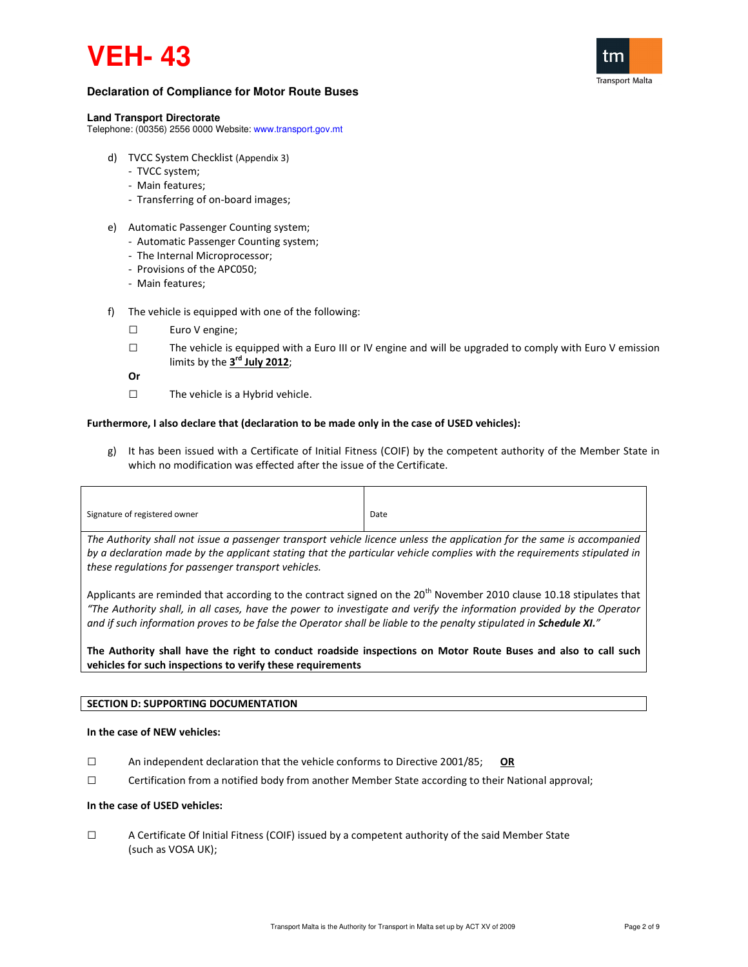# **VEH- 43**



## **Declaration of Compliance for Motor Route Buses**

#### **Land Transport Directorate**

Telephone: (00356) 2556 0000 Website: www.transport.gov.mt

- d) TVCC System Checklist (Appendix 3)
	- TVCC system;
	- Main features;
	- Transferring of on-board images;
- e) Automatic Passenger Counting system;
	- Automatic Passenger Counting system;
	- The Internal Microprocessor;
	- Provisions of the APC050;
	- Main features;
- f) The vehicle is equipped with one of the following:
	- □ Euro V engine;
	- $\square$  The vehicle is equipped with a Euro III or IV engine and will be upgraded to comply with Euro V emission limits by the  $3^{\text{rd}}$  July 2012;

Or

□ The vehicle is a Hybrid vehicle.

## Furthermore, I also declare that (declaration to be made only in the case of USED vehicles):

g) It has been issued with a Certificate of Initial Fitness (COIF) by the competent authority of the Member State in which no modification was effected after the issue of the Certificate.

| Signature of registered owner                                                                                          | Date |
|------------------------------------------------------------------------------------------------------------------------|------|
| The Authority shall not issue a passenger transport vehicle licence unless the application for the same is accompanied |      |

by a declaration made by the applicant stating that the particular vehicle complies with the requirements stipulated in these regulations for passenger transport vehicles.

Applicants are reminded that according to the contract signed on the  $20^{th}$  November 2010 clause 10.18 stipulates that "The Authority shall, in all cases, have the power to investigate and verify the information provided by the Operator and if such information proves to be false the Operator shall be liable to the penalty stipulated in Schedule XI."

The Authority shall have the right to conduct roadside inspections on Motor Route Buses and also to call such vehicles for such inspections to verify these requirements

## SECTION D: SUPPORTING DOCUMENTATION

### In the case of NEW vehicles:

- $\square$  An independent declaration that the vehicle conforms to Directive 2001/85; OR
- □ Certification from a notified body from another Member State according to their National approval;

### In the case of USED vehicles:

□ A Certificate Of Initial Fitness (COIF) issued by a competent authority of the said Member State (such as VOSA UK);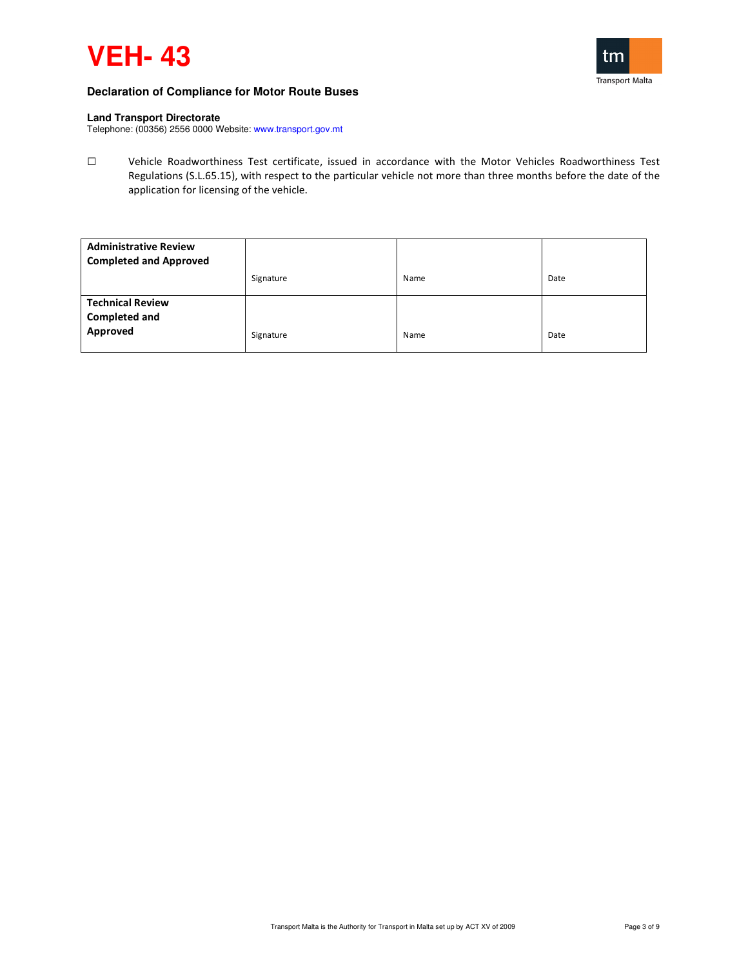



### **Land Transport Directorate**

Telephone: (00356) 2556 0000 Website: www.transport.gov.mt

□ Vehicle Roadworthiness Test certificate, issued in accordance with the Motor Vehicles Roadworthiness Test Regulations (S.L.65.15), with respect to the particular vehicle not more than three months before the date of the application for licensing of the vehicle.

| <b>Administrative Review</b><br><b>Completed and Approved</b> |           |      |      |
|---------------------------------------------------------------|-----------|------|------|
|                                                               | Signature | Name | Date |
| <b>Technical Review</b><br><b>Completed and</b><br>Approved   | Signature | Name | Date |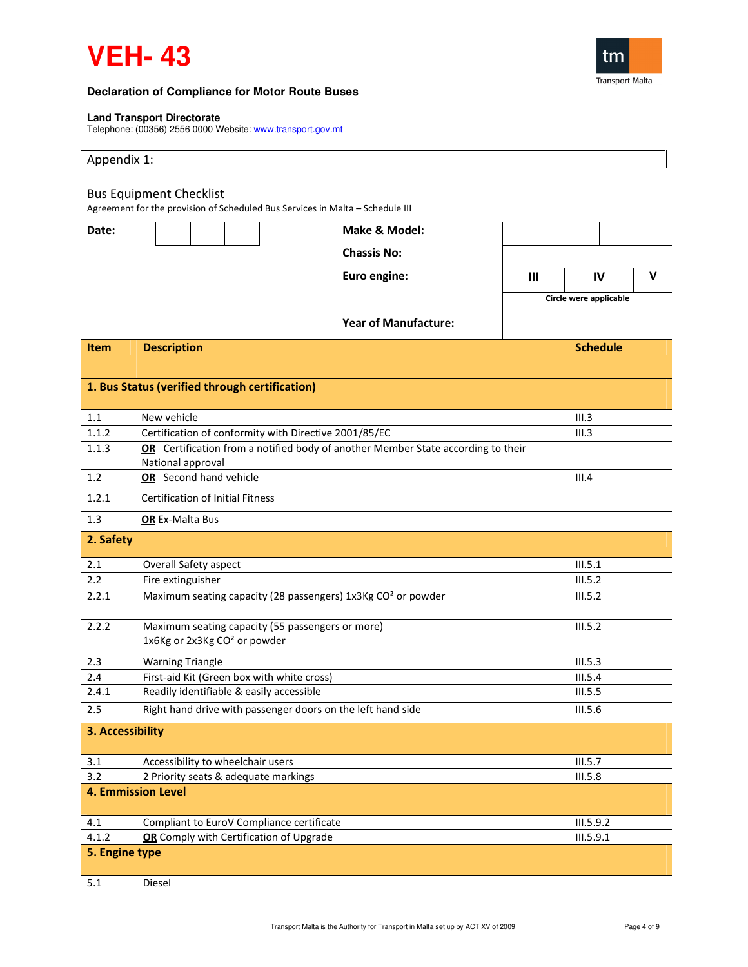

 $\mathsf{I}$ 



# **Declaration of Compliance for Motor Route Buses**

## **Land Transport Directorate**

Telephone: (00356) 2556 0000 Website: www.transport.gov.mt

| Appendix 1:      |                                                                                                                 |                             |              |                        |              |
|------------------|-----------------------------------------------------------------------------------------------------------------|-----------------------------|--------------|------------------------|--------------|
|                  | <b>Bus Equipment Checklist</b><br>Agreement for the provision of Scheduled Bus Services in Malta - Schedule III |                             |              |                        |              |
| Date:            |                                                                                                                 | Make & Model:               |              |                        |              |
|                  |                                                                                                                 | <b>Chassis No:</b>          |              |                        |              |
|                  |                                                                                                                 | Euro engine:                | $\mathbf{m}$ | IV                     | $\mathsf{V}$ |
|                  |                                                                                                                 |                             |              | Circle were applicable |              |
|                  |                                                                                                                 | <b>Year of Manufacture:</b> |              |                        |              |
| <b>Item</b>      | <b>Description</b>                                                                                              |                             |              | <b>Schedule</b>        |              |
|                  |                                                                                                                 |                             |              |                        |              |
|                  | 1. Bus Status (verified through certification)                                                                  |                             |              |                        |              |
|                  |                                                                                                                 |                             |              |                        |              |
| 1.1              | New vehicle                                                                                                     |                             |              | III.3                  |              |
| 1.1.2            | Certification of conformity with Directive 2001/85/EC                                                           |                             |              | III.3                  |              |
| 1.1.3            | OR Certification from a notified body of another Member State according to their<br>National approval           |                             |              |                        |              |
| 1.2              | OR Second hand vehicle                                                                                          |                             |              | III.4                  |              |
| 1.2.1            | <b>Certification of Initial Fitness</b>                                                                         |                             |              |                        |              |
| 1.3              | OR Ex-Malta Bus                                                                                                 |                             |              |                        |              |
| 2. Safety        |                                                                                                                 |                             |              |                        |              |
| 2.1              | Overall Safety aspect                                                                                           |                             |              | III.5.1                |              |
| 2.2              | Fire extinguisher                                                                                               |                             |              | III.5.2                |              |
| 2.2.1            | Maximum seating capacity (28 passengers) 1x3Kg CO <sup>2</sup> or powder                                        |                             |              | III.5.2                |              |
| 2.2.2            | Maximum seating capacity (55 passengers or more)<br>1x6Kg or 2x3Kg CO <sup>2</sup> or powder                    |                             |              | III.5.2                |              |
| 2.3              | <b>Warning Triangle</b>                                                                                         |                             |              | III.5.3                |              |
| 2.4              | First-aid Kit (Green box with white cross)                                                                      |                             |              | III.5.4                |              |
| 2.4.1            | Readily identifiable & easily accessible                                                                        |                             | III.5.5      |                        |              |
| 2.5              | Right hand drive with passenger doors on the left hand side                                                     |                             |              | <b>III.5.6</b>         |              |
| 3. Accessibility |                                                                                                                 |                             |              |                        |              |
| 3.1              | Accessibility to wheelchair users                                                                               |                             |              | III.5.7                |              |
| 3.2              | 2 Priority seats & adequate markings                                                                            |                             |              | III.5.8                |              |
|                  | <b>4. Emmission Level</b>                                                                                       |                             |              |                        |              |
| 4.1              | Compliant to EuroV Compliance certificate                                                                       |                             |              | III.5.9.2              |              |
| 4.1.2            | OR Comply with Certification of Upgrade                                                                         |                             |              | III.5.9.1              |              |
| 5. Engine type   |                                                                                                                 |                             |              |                        |              |
| 5.1              | Diesel                                                                                                          |                             |              |                        |              |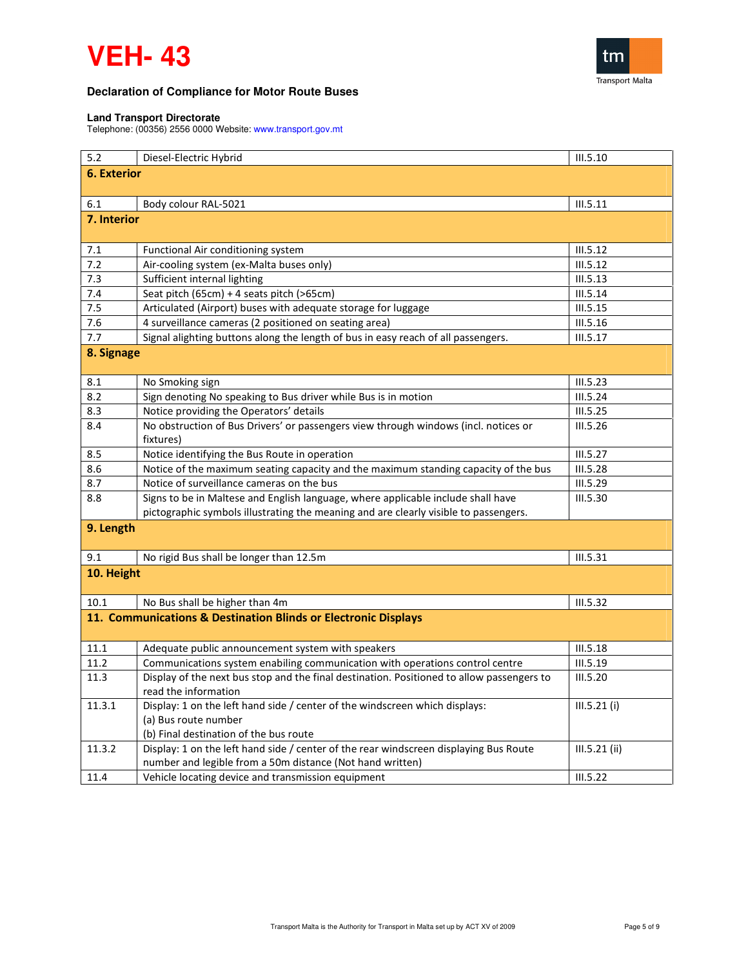# **VEH- 43**



# **Declaration of Compliance for Motor Route Buses**

### **Land Transport Directorate**

Telephone: (00356) 2556 0000 Website: www.transport.gov.mt

| 5.2                | Diesel-Electric Hybrid                                                                    | III.5.10        |
|--------------------|-------------------------------------------------------------------------------------------|-----------------|
| <b>6. Exterior</b> |                                                                                           |                 |
|                    |                                                                                           |                 |
| 6.1                | Body colour RAL-5021                                                                      | III.5.11        |
| 7. Interior        |                                                                                           |                 |
|                    |                                                                                           |                 |
| 7.1                | Functional Air conditioning system                                                        | III.5.12        |
| 7.2                | Air-cooling system (ex-Malta buses only)                                                  | III.5.12        |
| 7.3                | Sufficient internal lighting                                                              | III.5.13        |
| 7.4                | Seat pitch (65cm) + 4 seats pitch (>65cm)                                                 | III.5.14        |
| 7.5                | Articulated (Airport) buses with adequate storage for luggage                             | III.5.15        |
| 7.6                | 4 surveillance cameras (2 positioned on seating area)                                     | III.5.16        |
| 7.7                | Signal alighting buttons along the length of bus in easy reach of all passengers.         | III.5.17        |
| 8. Signage         |                                                                                           |                 |
|                    |                                                                                           |                 |
| 8.1                | No Smoking sign                                                                           | III.5.23        |
| 8.2                | Sign denoting No speaking to Bus driver while Bus is in motion                            | III.5.24        |
| 8.3                | Notice providing the Operators' details                                                   | III.5.25        |
| 8.4                | No obstruction of Bus Drivers' or passengers view through windows (incl. notices or       | III.5.26        |
|                    | fixtures)                                                                                 |                 |
| 8.5                | Notice identifying the Bus Route in operation                                             | III.5.27        |
| 8.6                | Notice of the maximum seating capacity and the maximum standing capacity of the bus       | <b>III.5.28</b> |
| 8.7                | Notice of surveillance cameras on the bus                                                 | III.5.29        |
| 8.8                | Signs to be in Maltese and English language, where applicable include shall have          | <b>III.5.30</b> |
|                    | pictographic symbols illustrating the meaning and are clearly visible to passengers.      |                 |
| 9. Length          |                                                                                           |                 |
|                    |                                                                                           |                 |
| 9.1                | No rigid Bus shall be longer than 12.5m                                                   | III.5.31        |
| 10. Height         |                                                                                           |                 |
|                    |                                                                                           |                 |
| 10.1               | No Bus shall be higher than 4m                                                            | III.5.32        |
|                    | 11. Communications & Destination Blinds or Electronic Displays                            |                 |
|                    |                                                                                           |                 |
| 11.1               | Adequate public announcement system with speakers                                         | <b>III.5.18</b> |
| 11.2               | Communications system enabiling communication with operations control centre              | III.5.19        |
| 11.3               | Display of the next bus stop and the final destination. Positioned to allow passengers to | III.5.20        |
|                    | read the information                                                                      |                 |
| 11.3.1             | Display: 1 on the left hand side / center of the windscreen which displays:               | III.5.21 (i)    |
|                    | (a) Bus route number                                                                      |                 |
|                    | (b) Final destination of the bus route                                                    |                 |
| 11.3.2             | Display: 1 on the left hand side / center of the rear windscreen displaying Bus Route     | III.5.21 (ii)   |
|                    | number and legible from a 50m distance (Not hand written)                                 |                 |
| 11.4               | Vehicle locating device and transmission equipment                                        | III.5.22        |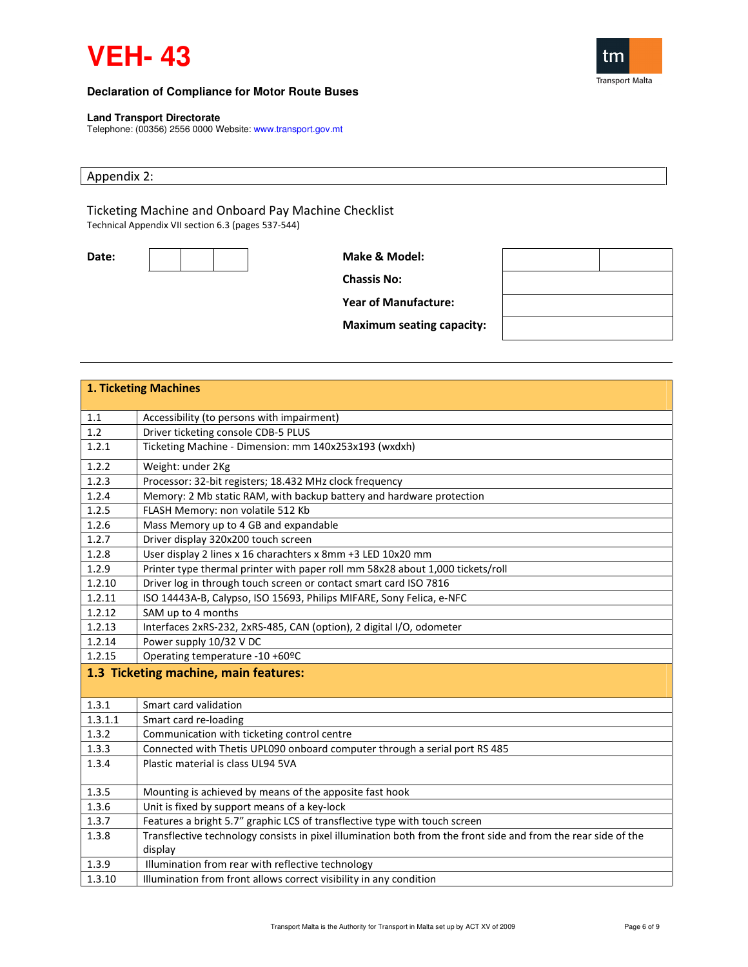



### **Land Transport Directorate**

Telephone: (00356) 2556 0000 Website: www.transport.gov.mt

# Appendix 2:

Ticketing Machine and Onboard Pay Machine Checklist Technical Appendix VII section 6.3 (pages 537-544)

| I |     | ×  | ×  |  |
|---|-----|----|----|--|
|   | . . | ۰. | ۰, |  |

Make & Model:

Chassis No:

Year of Manufacture:

Maximum seating capacity:

| <b>1. Ticketing Machines</b> |                                                                                                                |  |
|------------------------------|----------------------------------------------------------------------------------------------------------------|--|
|                              |                                                                                                                |  |
| 1.1                          | Accessibility (to persons with impairment)                                                                     |  |
| 1.2                          | Driver ticketing console CDB-5 PLUS                                                                            |  |
| 1.2.1                        | Ticketing Machine - Dimension: mm 140x253x193 (wxdxh)                                                          |  |
| 1.2.2                        | Weight: under 2Kg                                                                                              |  |
| 1.2.3                        | Processor: 32-bit registers; 18.432 MHz clock frequency                                                        |  |
| 1.2.4                        | Memory: 2 Mb static RAM, with backup battery and hardware protection                                           |  |
| 1.2.5                        | FLASH Memory: non volatile 512 Kb                                                                              |  |
| 1.2.6                        | Mass Memory up to 4 GB and expandable                                                                          |  |
| 1.2.7                        | Driver display 320x200 touch screen                                                                            |  |
| 1.2.8                        | User display 2 lines x 16 charachters x 8mm +3 LED 10x20 mm                                                    |  |
| 1.2.9                        | Printer type thermal printer with paper roll mm 58x28 about 1,000 tickets/roll                                 |  |
| 1.2.10                       | Driver log in through touch screen or contact smart card ISO 7816                                              |  |
| 1.2.11                       | ISO 14443A-B, Calypso, ISO 15693, Philips MIFARE, Sony Felica, e-NFC                                           |  |
| 1.2.12                       | SAM up to 4 months                                                                                             |  |
| 1.2.13                       | Interfaces 2xRS-232, 2xRS-485, CAN (option), 2 digital I/O, odometer                                           |  |
| 1.2.14                       | Power supply 10/32 V DC                                                                                        |  |
| 1.2.15                       | Operating temperature -10 +60°C                                                                                |  |
|                              | 1.3 Ticketing machine, main features:                                                                          |  |
|                              |                                                                                                                |  |
| 1.3.1                        | Smart card validation                                                                                          |  |
| 1.3.1.1                      | Smart card re-loading                                                                                          |  |
| 1.3.2                        | Communication with ticketing control centre                                                                    |  |
| 1.3.3                        | Connected with Thetis UPL090 onboard computer through a serial port RS 485                                     |  |
| 1.3.4                        | Plastic material is class UL94 5VA                                                                             |  |
| 1.3.5                        | Mounting is achieved by means of the apposite fast hook                                                        |  |
| 1.3.6                        | Unit is fixed by support means of a key-lock                                                                   |  |
| 1.3.7                        | Features a bright 5.7" graphic LCS of transflective type with touch screen                                     |  |
| 1.3.8                        | Transflective technology consists in pixel illumination both from the front side and from the rear side of the |  |
|                              | display                                                                                                        |  |
| 1.3.9                        | Illumination from rear with reflective technology                                                              |  |
| 1.3.10                       | Illumination from front allows correct visibility in any condition                                             |  |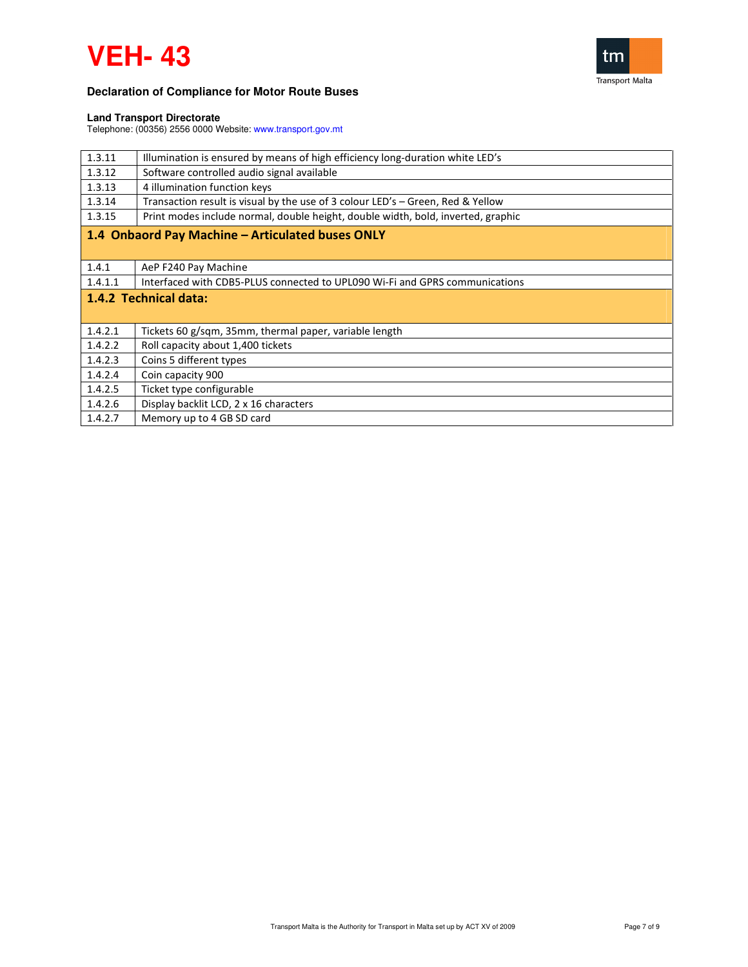



### **Land Transport Directorate**

Telephone: (00356) 2556 0000 Website: www.transport.gov.mt

| 1.3.11                | Illumination is ensured by means of high efficiency long-duration white LED's    |
|-----------------------|----------------------------------------------------------------------------------|
| 1.3.12                | Software controlled audio signal available                                       |
| 1.3.13                | 4 illumination function keys                                                     |
| 1.3.14                | Transaction result is visual by the use of 3 colour LED's – Green, Red & Yellow  |
| 1.3.15                | Print modes include normal, double height, double width, bold, inverted, graphic |
|                       | 1.4 Onbaord Pay Machine - Articulated buses ONLY                                 |
|                       |                                                                                  |
| 1.4.1                 | AeP F240 Pay Machine                                                             |
| 1.4.1.1               | Interfaced with CDB5-PLUS connected to UPL090 Wi-Fi and GPRS communications      |
| 1.4.2 Technical data: |                                                                                  |
|                       |                                                                                  |
| 1.4.2.1               | Tickets 60 g/sqm, 35mm, thermal paper, variable length                           |
| 1.4.2.2               | Roll capacity about 1,400 tickets                                                |
| 1.4.2.3               | Coins 5 different types                                                          |
| 1.4.2.4               | Coin capacity 900                                                                |
| 1.4.2.5               | Ticket type configurable                                                         |
|                       |                                                                                  |
| 1.4.2.6               | Display backlit LCD, 2 x 16 characters                                           |
| 1.4.2.7               | Memory up to 4 GB SD card                                                        |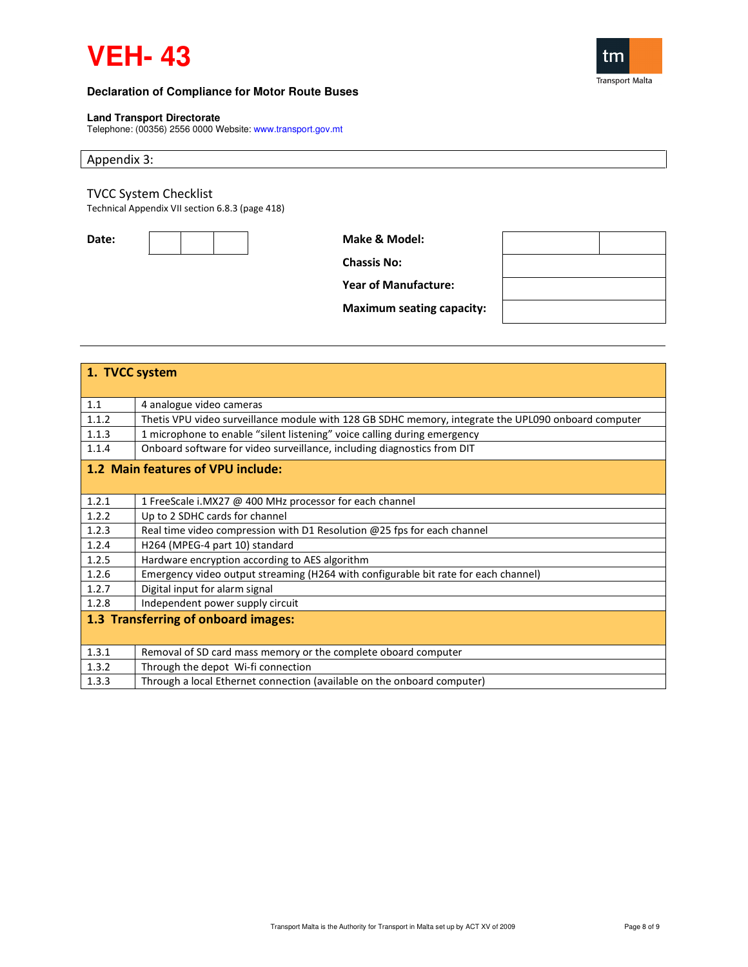



## **Land Transport Directorate**

Telephone: (00356) 2556 0000 Website: www.transport.gov.mt

## Appendix 3:

# TVCC System Checklist

Technical Appendix VII section 6.8.3 (page 418)



Chassis No:

Year of Manufacture:

Maximum seating capacity:

|       | 1. TVCC system                                                                                      |  |  |
|-------|-----------------------------------------------------------------------------------------------------|--|--|
|       |                                                                                                     |  |  |
| 1.1   | 4 analogue video cameras                                                                            |  |  |
| 1.1.2 | Thetis VPU video surveillance module with 128 GB SDHC memory, integrate the UPL090 onboard computer |  |  |
| 1.1.3 | 1 microphone to enable "silent listening" voice calling during emergency                            |  |  |
| 1.1.4 | Onboard software for video surveillance, including diagnostics from DIT                             |  |  |
|       | 1.2 Main features of VPU include:                                                                   |  |  |
|       |                                                                                                     |  |  |
| 1.2.1 | 1 FreeScale i.MX27 @ 400 MHz processor for each channel                                             |  |  |
| 1.2.2 | Up to 2 SDHC cards for channel                                                                      |  |  |
| 1.2.3 | Real time video compression with D1 Resolution @25 fps for each channel                             |  |  |
| 1.2.4 | H264 (MPEG-4 part 10) standard                                                                      |  |  |
| 1.2.5 | Hardware encryption according to AES algorithm                                                      |  |  |
| 1.2.6 | Emergency video output streaming (H264 with configurable bit rate for each channel)                 |  |  |
| 1.2.7 | Digital input for alarm signal                                                                      |  |  |
| 1.2.8 | Independent power supply circuit                                                                    |  |  |
|       | 1.3 Transferring of onboard images:                                                                 |  |  |
|       |                                                                                                     |  |  |
| 1.3.1 | Removal of SD card mass memory or the complete oboard computer                                      |  |  |
| 1.3.2 | Through the depot Wi-fi connection                                                                  |  |  |
| 1.3.3 | Through a local Ethernet connection (available on the onboard computer)                             |  |  |